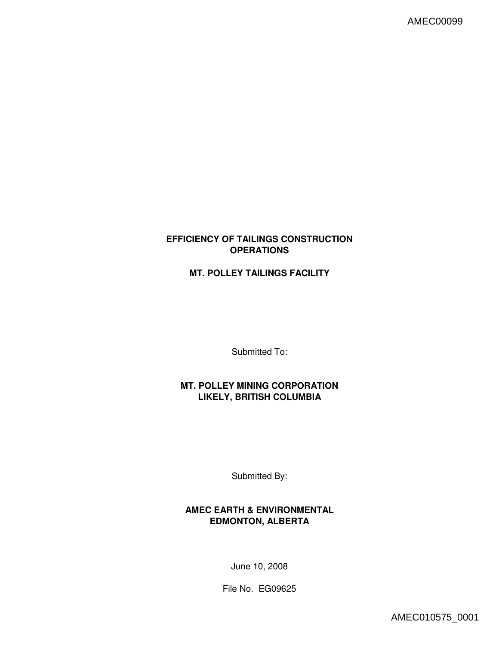# **EFFICIENCY OF TAILINGS CONSTRUCTION OPERATIONS**

# **MT. POLLEY TAILINGS FACILITY**

Submitted To:

# **MT. POLLEY MINING CORPORATION LIKELY, BRITISH COLUMBIA**

Submitted By:

# **AMEC EARTH & ENVIRONMENTAL EDMONTON, ALBERTA**

June 10, 2008

File No. EG09625

AMEC010575\_0001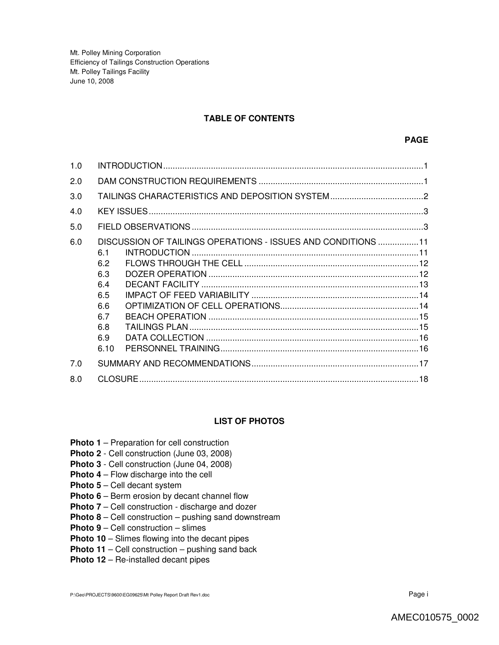## **TABLE OF CONTENTS**

| 1.0 |                                                                                                                                    |
|-----|------------------------------------------------------------------------------------------------------------------------------------|
| 2.0 |                                                                                                                                    |
| 3.0 |                                                                                                                                    |
| 4.0 |                                                                                                                                    |
| 5.0 |                                                                                                                                    |
| 6.0 | DISCUSSION OF TAILINGS OPERATIONS - ISSUES AND CONDITIONS 11<br>61<br>6.2<br>6.3<br>6.4<br>6.5<br>6.6<br>6.7<br>6.8<br>6.9<br>6.10 |
| 7.0 |                                                                                                                                    |
| 8.0 |                                                                                                                                    |

## **LIST OF PHOTOS**

- **Photo 1** Preparation for cell construction
- **Photo 2**  Cell construction (June 03, 2008)
- **Photo 3** Cell construction (June 04, 2008)
- **Photo 4** Flow discharge into the cell
- **Photo 5** Cell decant system
- **Photo 6** Berm erosion by decant channel flow
- **Photo 7** Cell construction discharge and dozer
- **Photo 8** Cell construction pushing sand downstream
- **Photo 9** Cell construction slimes
- **Photo 10** Slimes flowing into the decant pipes
- **Photo 11** Cell construction pushing sand back
- **Photo 12** Re-installed decant pipes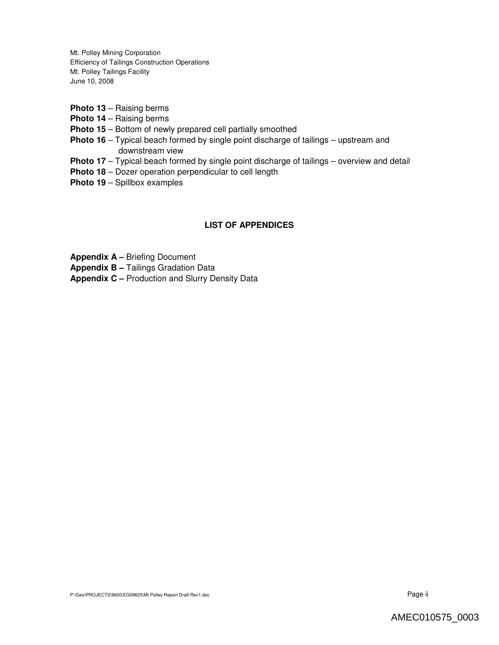- **Photo 13** Raising berms
- **Photo 14** Raising berms
- **Photo 15** Bottom of newly prepared cell partially smoothed
- **Photo 16** Typical beach formed by single point discharge of tailings upstream and downstream view
- **Photo 17** Typical beach formed by single point discharge of tailings overview and detail
- **Photo 18** Dozer operation perpendicular to cell length
- **Photo 19** Spillbox examples

## **LIST OF APPENDICES**

**Appendix A –** Briefing Document

**Appendix B –** Tailings Gradation Data

**Appendix C –** Production and Slurry Density Data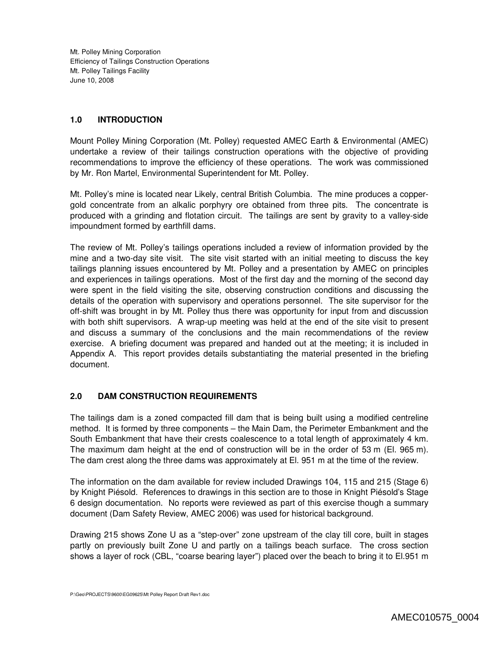## **1.0 INTRODUCTION**

Mount Polley Mining Corporation (Mt. Polley) requested AMEC Earth & Environmental (AMEC) undertake a review of their tailings construction operations with the objective of providing recommendations to improve the efficiency of these operations. The work was commissioned by Mr. Ron Martel, Environmental Superintendent for Mt. Polley.

Mt. Polley's mine is located near Likely, central British Columbia. The mine produces a coppergold concentrate from an alkalic porphyry ore obtained from three pits. The concentrate is produced with a grinding and flotation circuit. The tailings are sent by gravity to a valley-side impoundment formed by earthfill dams.

The review of Mt. Polley's tailings operations included a review of information provided by the mine and a two-day site visit. The site visit started with an initial meeting to discuss the key tailings planning issues encountered by Mt. Polley and a presentation by AMEC on principles and experiences in tailings operations. Most of the first day and the morning of the second day were spent in the field visiting the site, observing construction conditions and discussing the details of the operation with supervisory and operations personnel. The site supervisor for the off-shift was brought in by Mt. Polley thus there was opportunity for input from and discussion with both shift supervisors. A wrap-up meeting was held at the end of the site visit to present and discuss a summary of the conclusions and the main recommendations of the review exercise. A briefing document was prepared and handed out at the meeting; it is included in Appendix A. This report provides details substantiating the material presented in the briefing document.

# **2.0 DAM CONSTRUCTION REQUIREMENTS**

The tailings dam is a zoned compacted fill dam that is being built using a modified centreline method. It is formed by three components – the Main Dam, the Perimeter Embankment and the South Embankment that have their crests coalescence to a total length of approximately 4 km. The maximum dam height at the end of construction will be in the order of 53 m (El. 965 m). The dam crest along the three dams was approximately at El. 951 m at the time of the review.

The information on the dam available for review included Drawings 104, 115 and 215 (Stage 6) by Knight Piésold. References to drawings in this section are to those in Knight Piésold's Stage 6 design documentation. No reports were reviewed as part of this exercise though a summary document (Dam Safety Review, AMEC 2006) was used for historical background.

Drawing 215 shows Zone U as a "step-over" zone upstream of the clay till core, built in stages partly on previously built Zone U and partly on a tailings beach surface. The cross section shows a layer of rock (CBL, "coarse bearing layer") placed over the beach to bring it to El.951 m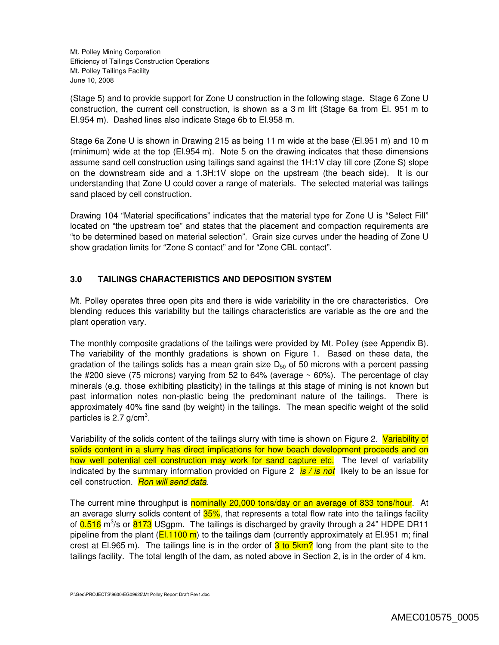(Stage 5) and to provide support for Zone U construction in the following stage. Stage 6 Zone U construction, the current cell construction, is shown as a 3 m lift (Stage 6a from El. 951 m to El.954 m). Dashed lines also indicate Stage 6b to El.958 m.

Stage 6a Zone U is shown in Drawing 215 as being 11 m wide at the base (El.951 m) and 10 m (minimum) wide at the top (El.954 m). Note 5 on the drawing indicates that these dimensions assume sand cell construction using tailings sand against the 1H:1V clay till core (Zone S) slope on the downstream side and a 1.3H:1V slope on the upstream (the beach side). It is our understanding that Zone U could cover a range of materials. The selected material was tailings sand placed by cell construction.

Drawing 104 "Material specifications" indicates that the material type for Zone U is "Select Fill" located on "the upstream toe" and states that the placement and compaction requirements are "to be determined based on material selection". Grain size curves under the heading of Zone U show gradation limits for "Zone S contact" and for "Zone CBL contact".

# **3.0 TAILINGS CHARACTERISTICS AND DEPOSITION SYSTEM**

Mt. Polley operates three open pits and there is wide variability in the ore characteristics. Ore blending reduces this variability but the tailings characteristics are variable as the ore and the plant operation vary.

The monthly composite gradations of the tailings were provided by Mt. Polley (see Appendix B). The variability of the monthly gradations is shown on Figure 1. Based on these data, the gradation of the tailings solids has a mean grain size  $D_{50}$  of 50 microns with a percent passing the #200 sieve (75 microns) varying from 52 to 64% (average  $\sim$  60%). The percentage of clay minerals (e.g. those exhibiting plasticity) in the tailings at this stage of mining is not known but past information notes non-plastic being the predominant nature of the tailings. There is approximately 40% fine sand (by weight) in the tailings. The mean specific weight of the solid particles is 2.7 g/cm<sup>3</sup>.

Variability of the solids content of the tailings slurry with time is shown on Figure 2. Variability of solids content in a slurry has direct implications for how beach development proceeds and on how well potential cell construction may work for sand capture etc. The level of variability indicated by the summary information provided on Figure 2 *is / is not* likely to be an issue for cell construction. *Ron will send data*.

The current mine throughput is nominally 20,000 tons/day or an average of 833 tons/hour. At an average slurry solids content of 35%, that represents a total flow rate into the tailings facility of 0.516 m<sup>3</sup>/s or 8173 USgpm. The tailings is discharged by gravity through a 24" HDPE DR11 pipeline from the plant ( $E1.1100 \text{ m}$ ) to the tailings dam (currently approximately at El.951 m; final crest at El.965 m). The tailings line is in the order of  $3$  to  $5km$ ? long from the plant site to the tailings facility. The total length of the dam, as noted above in Section 2, is in the order of 4 km.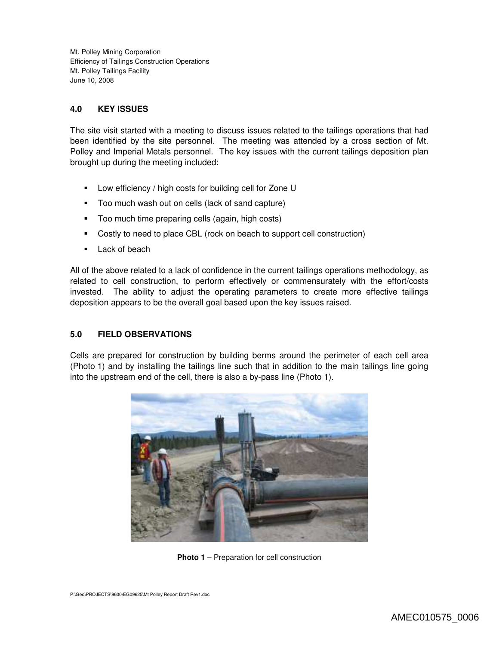## **4.0 KEY ISSUES**

The site visit started with a meeting to discuss issues related to the tailings operations that had been identified by the site personnel. The meeting was attended by a cross section of Mt. Polley and Imperial Metals personnel. The key issues with the current tailings deposition plan brought up during the meeting included:

- **Low efficiency / high costs for building cell for Zone U**
- **Too much wash out on cells (lack of sand capture)**
- **Too much time preparing cells (again, high costs)**
- Costly to need to place CBL (rock on beach to support cell construction)
- **Lack of beach**

All of the above related to a lack of confidence in the current tailings operations methodology, as related to cell construction, to perform effectively or commensurately with the effort/costs invested. The ability to adjust the operating parameters to create more effective tailings deposition appears to be the overall goal based upon the key issues raised.

### **5.0 FIELD OBSERVATIONS**

Cells are prepared for construction by building berms around the perimeter of each cell area (Photo 1) and by installing the tailings line such that in addition to the main tailings line going into the upstream end of the cell, there is also a by-pass line (Photo 1).



**Photo 1** – Preparation for cell construction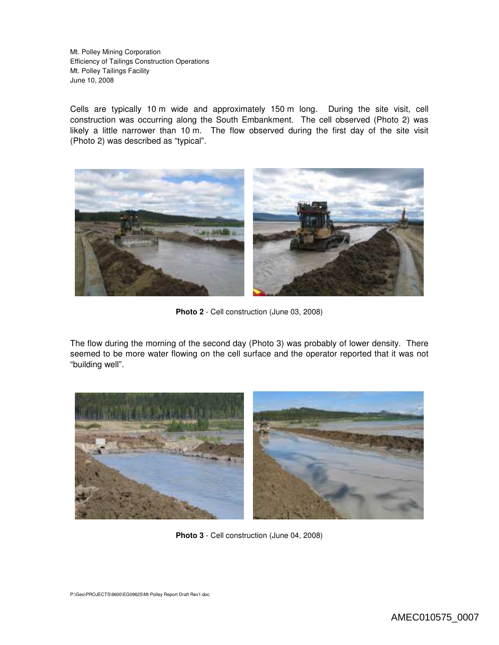Cells are typically 10 m wide and approximately 150 m long. During the site visit, cell construction was occurring along the South Embankment. The cell observed (Photo 2) was likely a little narrower than 10 m. The flow observed during the first day of the site visit (Photo 2) was described as "typical".



**Photo 2** - Cell construction (June 03, 2008)

The flow during the morning of the second day (Photo 3) was probably of lower density. There seemed to be more water flowing on the cell surface and the operator reported that it was not "building well".



**Photo 3** - Cell construction (June 04, 2008)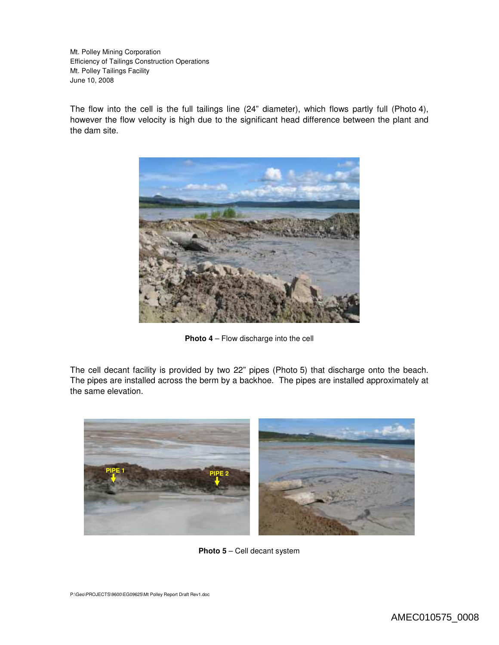The flow into the cell is the full tailings line (24" diameter), which flows partly full (Photo 4), however the flow velocity is high due to the significant head difference between the plant and the dam site.



**Photo 4** – Flow discharge into the cell

The cell decant facility is provided by two 22" pipes (Photo 5) that discharge onto the beach. The pipes are installed across the berm by a backhoe. The pipes are installed approximately at the same elevation.



**Photo 5** – Cell decant system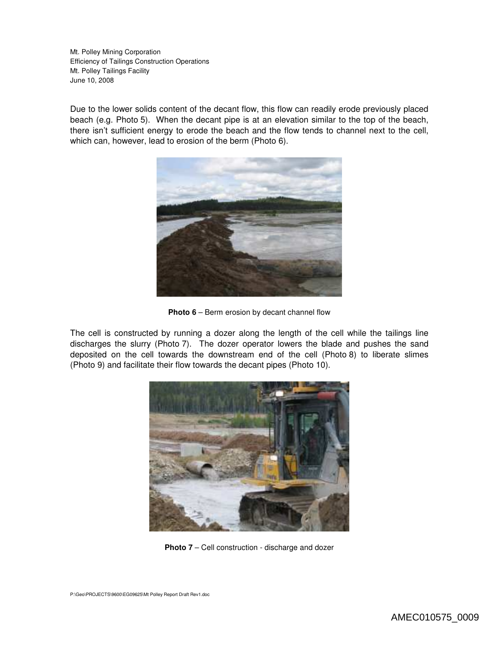Due to the lower solids content of the decant flow, this flow can readily erode previously placed beach (e.g. Photo 5). When the decant pipe is at an elevation similar to the top of the beach, there isn't sufficient energy to erode the beach and the flow tends to channel next to the cell, which can, however, lead to erosion of the berm (Photo 6).



**Photo 6** – Berm erosion by decant channel flow

The cell is constructed by running a dozer along the length of the cell while the tailings line discharges the slurry (Photo 7). The dozer operator lowers the blade and pushes the sand deposited on the cell towards the downstream end of the cell (Photo 8) to liberate slimes (Photo 9) and facilitate their flow towards the decant pipes (Photo 10).



**Photo 7** – Cell construction - discharge and dozer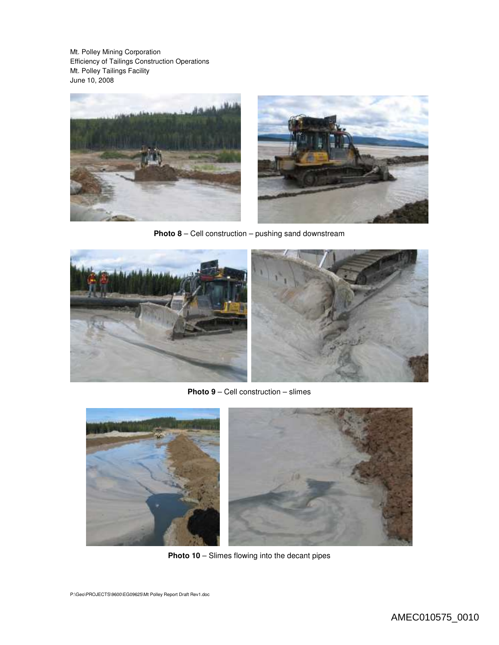

**Photo 8** – Cell construction – pushing sand downstream



**Photo 9** – Cell construction – slimes



**Photo 10** – Slimes flowing into the decant pipes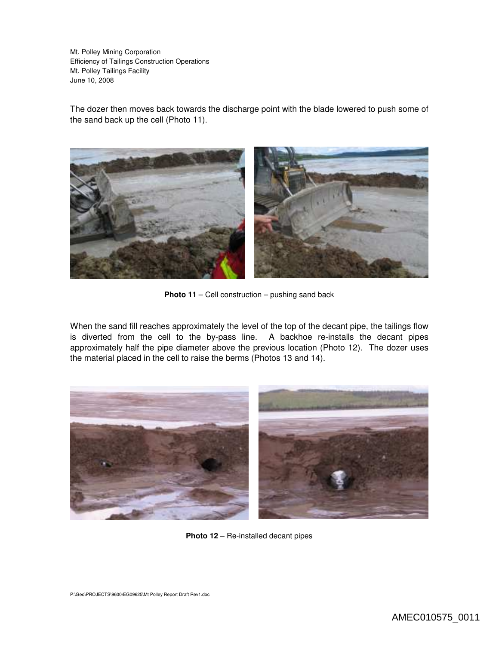The dozer then moves back towards the discharge point with the blade lowered to push some of the sand back up the cell (Photo 11).



**Photo 11** – Cell construction – pushing sand back

When the sand fill reaches approximately the level of the top of the decant pipe, the tailings flow is diverted from the cell to the by-pass line. A backhoe re-installs the decant pipes approximately half the pipe diameter above the previous location (Photo 12). The dozer uses the material placed in the cell to raise the berms (Photos 13 and 14).



**Photo 12** – Re-installed decant pipes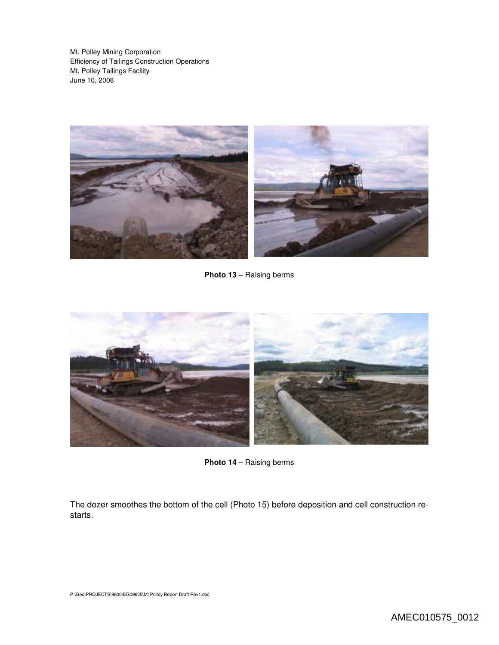

**Photo 13** – Raising berms



**Photo 14** – Raising berms

The dozer smoothes the bottom of the cell (Photo 15) before deposition and cell construction restarts.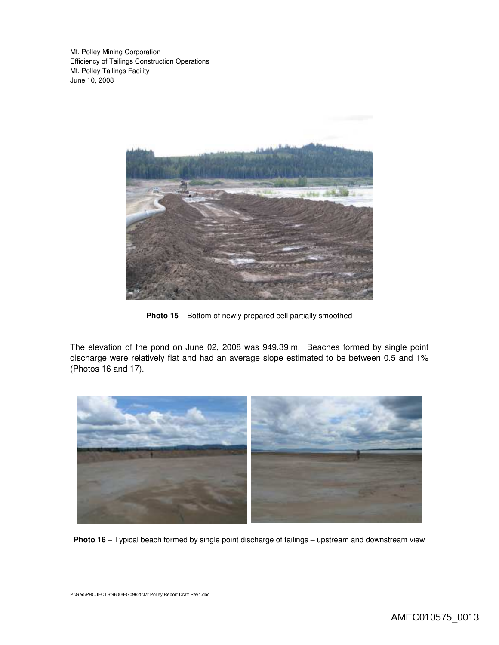

**Photo 15** – Bottom of newly prepared cell partially smoothed

The elevation of the pond on June 02, 2008 was 949.39 m. Beaches formed by single point discharge were relatively flat and had an average slope estimated to be between 0.5 and 1% (Photos 16 and 17).



**Photo 16** – Typical beach formed by single point discharge of tailings – upstream and downstream view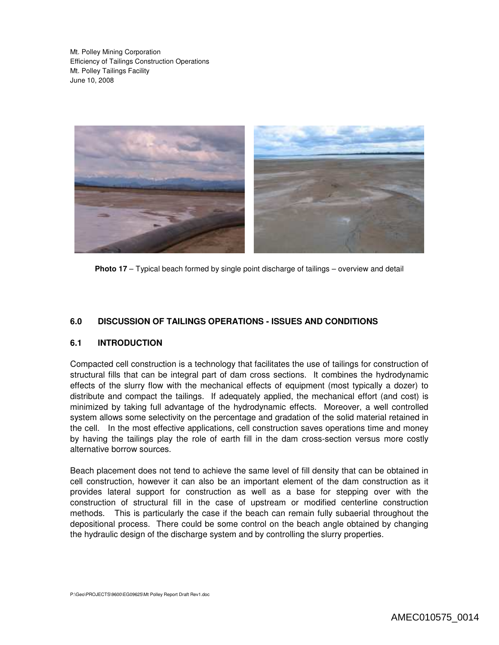

**Photo 17** – Typical beach formed by single point discharge of tailings – overview and detail

## **6.0 DISCUSSION OF TAILINGS OPERATIONS - ISSUES AND CONDITIONS**

### **6.1 INTRODUCTION**

Compacted cell construction is a technology that facilitates the use of tailings for construction of structural fills that can be integral part of dam cross sections. It combines the hydrodynamic effects of the slurry flow with the mechanical effects of equipment (most typically a dozer) to distribute and compact the tailings. If adequately applied, the mechanical effort (and cost) is minimized by taking full advantage of the hydrodynamic effects. Moreover, a well controlled system allows some selectivity on the percentage and gradation of the solid material retained in the cell. In the most effective applications, cell construction saves operations time and money by having the tailings play the role of earth fill in the dam cross-section versus more costly alternative borrow sources.

Beach placement does not tend to achieve the same level of fill density that can be obtained in cell construction, however it can also be an important element of the dam construction as it provides lateral support for construction as well as a base for stepping over with the construction of structural fill in the case of upstream or modified centerline construction methods. This is particularly the case if the beach can remain fully subaerial throughout the depositional process. There could be some control on the beach angle obtained by changing the hydraulic design of the discharge system and by controlling the slurry properties.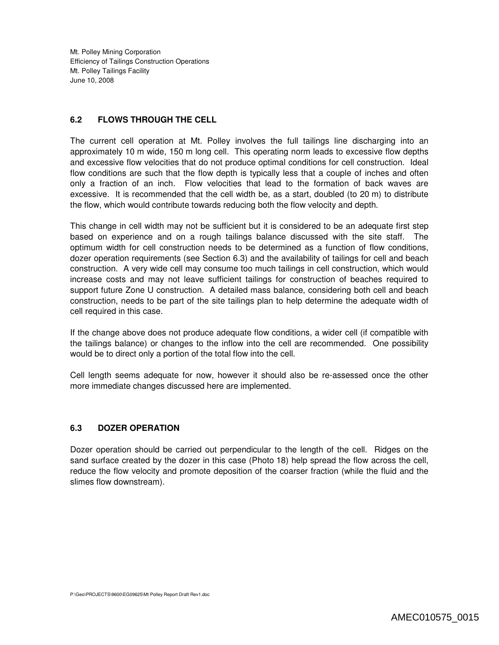### **6.2 FLOWS THROUGH THE CELL**

The current cell operation at Mt. Polley involves the full tailings line discharging into an approximately 10 m wide, 150 m long cell. This operating norm leads to excessive flow depths and excessive flow velocities that do not produce optimal conditions for cell construction. Ideal flow conditions are such that the flow depth is typically less that a couple of inches and often only a fraction of an inch. Flow velocities that lead to the formation of back waves are excessive. It is recommended that the cell width be, as a start, doubled (to 20 m) to distribute the flow, which would contribute towards reducing both the flow velocity and depth.

This change in cell width may not be sufficient but it is considered to be an adequate first step based on experience and on a rough tailings balance discussed with the site staff. The optimum width for cell construction needs to be determined as a function of flow conditions, dozer operation requirements (see Section 6.3) and the availability of tailings for cell and beach construction. A very wide cell may consume too much tailings in cell construction, which would increase costs and may not leave sufficient tailings for construction of beaches required to support future Zone U construction. A detailed mass balance, considering both cell and beach construction, needs to be part of the site tailings plan to help determine the adequate width of cell required in this case.

If the change above does not produce adequate flow conditions, a wider cell (if compatible with the tailings balance) or changes to the inflow into the cell are recommended. One possibility would be to direct only a portion of the total flow into the cell.

Cell length seems adequate for now, however it should also be re-assessed once the other more immediate changes discussed here are implemented.

# **6.3 DOZER OPERATION**

Dozer operation should be carried out perpendicular to the length of the cell. Ridges on the sand surface created by the dozer in this case (Photo 18) help spread the flow across the cell, reduce the flow velocity and promote deposition of the coarser fraction (while the fluid and the slimes flow downstream).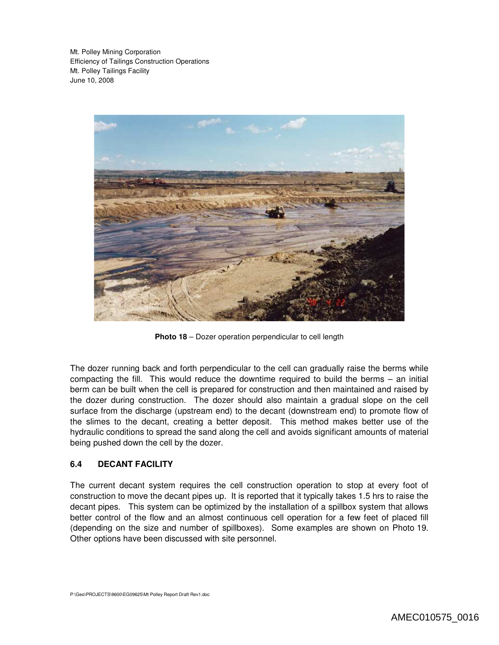

**Photo 18** – Dozer operation perpendicular to cell length

The dozer running back and forth perpendicular to the cell can gradually raise the berms while compacting the fill. This would reduce the downtime required to build the berms – an initial berm can be built when the cell is prepared for construction and then maintained and raised by the dozer during construction. The dozer should also maintain a gradual slope on the cell surface from the discharge (upstream end) to the decant (downstream end) to promote flow of the slimes to the decant, creating a better deposit. This method makes better use of the hydraulic conditions to spread the sand along the cell and avoids significant amounts of material being pushed down the cell by the dozer.

### **6.4 DECANT FACILITY**

The current decant system requires the cell construction operation to stop at every foot of construction to move the decant pipes up. It is reported that it typically takes 1.5 hrs to raise the decant pipes. This system can be optimized by the installation of a spillbox system that allows better control of the flow and an almost continuous cell operation for a few feet of placed fill (depending on the size and number of spillboxes). Some examples are shown on Photo 19. Other options have been discussed with site personnel.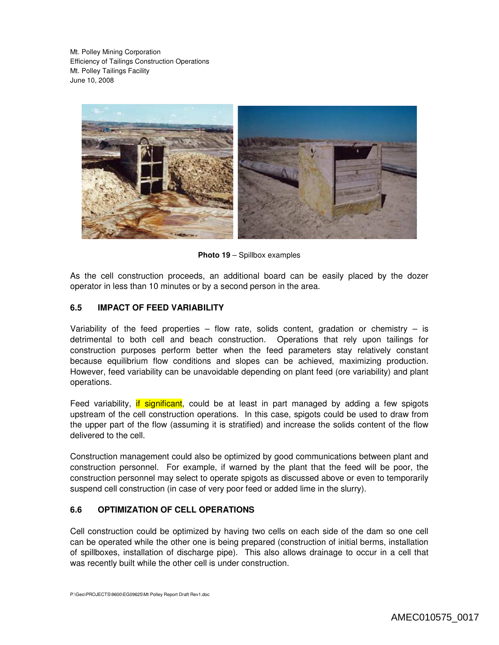

**Photo 19** – Spillbox examples

As the cell construction proceeds, an additional board can be easily placed by the dozer operator in less than 10 minutes or by a second person in the area.

## **6.5 IMPACT OF FEED VARIABILITY**

Variability of the feed properties – flow rate, solids content, gradation or chemistry – is detrimental to both cell and beach construction. Operations that rely upon tailings for construction purposes perform better when the feed parameters stay relatively constant because equilibrium flow conditions and slopes can be achieved, maximizing production. However, feed variability can be unavoidable depending on plant feed (ore variability) and plant operations.

Feed variability, if significant, could be at least in part managed by adding a few spigots upstream of the cell construction operations. In this case, spigots could be used to draw from the upper part of the flow (assuming it is stratified) and increase the solids content of the flow delivered to the cell.

Construction management could also be optimized by good communications between plant and construction personnel. For example, if warned by the plant that the feed will be poor, the construction personnel may select to operate spigots as discussed above or even to temporarily suspend cell construction (in case of very poor feed or added lime in the slurry).

## **6.6 OPTIMIZATION OF CELL OPERATIONS**

Cell construction could be optimized by having two cells on each side of the dam so one cell can be operated while the other one is being prepared (construction of initial berms, installation of spillboxes, installation of discharge pipe). This also allows drainage to occur in a cell that was recently built while the other cell is under construction.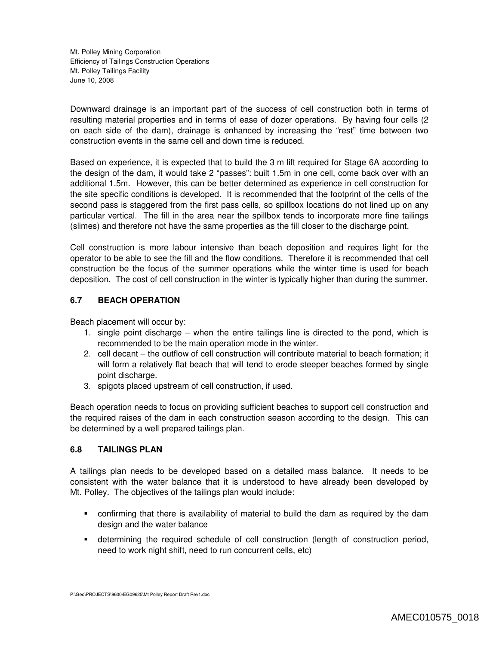Downward drainage is an important part of the success of cell construction both in terms of resulting material properties and in terms of ease of dozer operations. By having four cells (2 on each side of the dam), drainage is enhanced by increasing the "rest" time between two construction events in the same cell and down time is reduced.

Based on experience, it is expected that to build the 3 m lift required for Stage 6A according to the design of the dam, it would take 2 "passes": built 1.5m in one cell, come back over with an additional 1.5m. However, this can be better determined as experience in cell construction for the site specific conditions is developed. It is recommended that the footprint of the cells of the second pass is staggered from the first pass cells, so spillbox locations do not lined up on any particular vertical. The fill in the area near the spillbox tends to incorporate more fine tailings (slimes) and therefore not have the same properties as the fill closer to the discharge point.

Cell construction is more labour intensive than beach deposition and requires light for the operator to be able to see the fill and the flow conditions. Therefore it is recommended that cell construction be the focus of the summer operations while the winter time is used for beach deposition. The cost of cell construction in the winter is typically higher than during the summer.

## **6.7 BEACH OPERATION**

Beach placement will occur by:

- 1. single point discharge when the entire tailings line is directed to the pond, which is recommended to be the main operation mode in the winter.
- 2. cell decant the outflow of cell construction will contribute material to beach formation; it will form a relatively flat beach that will tend to erode steeper beaches formed by single point discharge.
- 3. spigots placed upstream of cell construction, if used.

Beach operation needs to focus on providing sufficient beaches to support cell construction and the required raises of the dam in each construction season according to the design. This can be determined by a well prepared tailings plan.

# **6.8 TAILINGS PLAN**

A tailings plan needs to be developed based on a detailed mass balance. It needs to be consistent with the water balance that it is understood to have already been developed by Mt. Polley. The objectives of the tailings plan would include:

- confirming that there is availability of material to build the dam as required by the dam design and the water balance
- determining the required schedule of cell construction (length of construction period, need to work night shift, need to run concurrent cells, etc)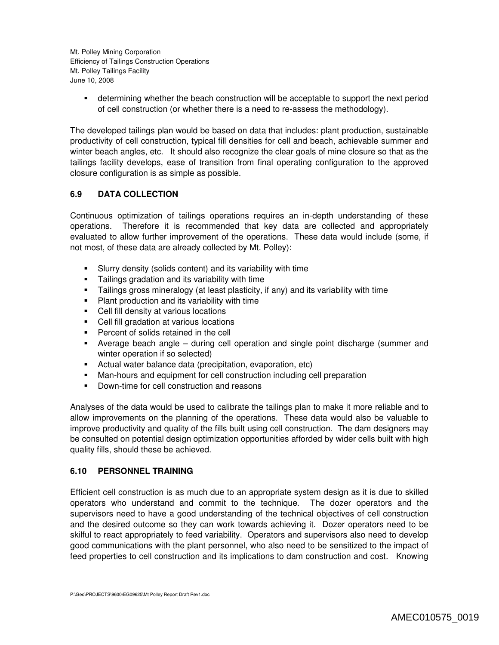determining whether the beach construction will be acceptable to support the next period of cell construction (or whether there is a need to re-assess the methodology).

The developed tailings plan would be based on data that includes: plant production, sustainable productivity of cell construction, typical fill densities for cell and beach, achievable summer and winter beach angles, etc. It should also recognize the clear goals of mine closure so that as the tailings facility develops, ease of transition from final operating configuration to the approved closure configuration is as simple as possible.

# **6.9 DATA COLLECTION**

Continuous optimization of tailings operations requires an in-depth understanding of these operations. Therefore it is recommended that key data are collected and appropriately evaluated to allow further improvement of the operations. These data would include (some, if not most, of these data are already collected by Mt. Polley):

- Slurry density (solids content) and its variability with time
- Tailings gradation and its variability with time
- Tailings gross mineralogy (at least plasticity, if any) and its variability with time
- **Plant production and its variability with time**
- Cell fill density at various locations
- Cell fill gradation at various locations
- **Percent of solids retained in the cell**
- Average beach angle during cell operation and single point discharge (summer and winter operation if so selected)
- Actual water balance data (precipitation, evaporation, etc)
- Man-hours and equipment for cell construction including cell preparation
- **•** Down-time for cell construction and reasons

Analyses of the data would be used to calibrate the tailings plan to make it more reliable and to allow improvements on the planning of the operations. These data would also be valuable to improve productivity and quality of the fills built using cell construction. The dam designers may be consulted on potential design optimization opportunities afforded by wider cells built with high quality fills, should these be achieved.

### **6.10 PERSONNEL TRAINING**

Efficient cell construction is as much due to an appropriate system design as it is due to skilled operators who understand and commit to the technique. The dozer operators and the supervisors need to have a good understanding of the technical objectives of cell construction and the desired outcome so they can work towards achieving it. Dozer operators need to be skilful to react appropriately to feed variability. Operators and supervisors also need to develop good communications with the plant personnel, who also need to be sensitized to the impact of feed properties to cell construction and its implications to dam construction and cost. Knowing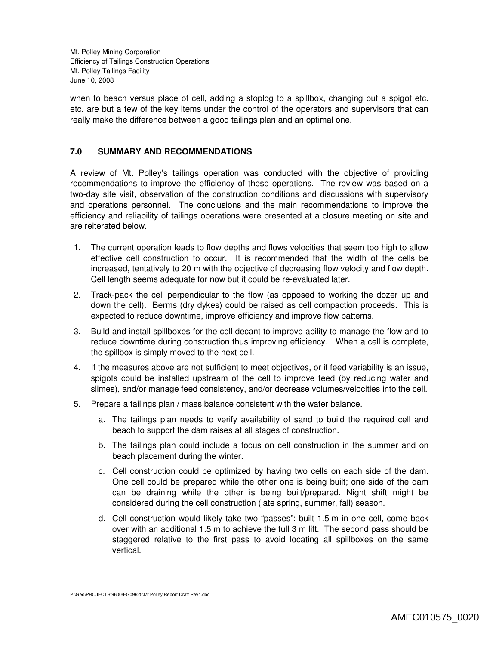when to beach versus place of cell, adding a stoplog to a spillbox, changing out a spigot etc. etc. are but a few of the key items under the control of the operators and supervisors that can really make the difference between a good tailings plan and an optimal one.

## **7.0 SUMMARY AND RECOMMENDATIONS**

A review of Mt. Polley's tailings operation was conducted with the objective of providing recommendations to improve the efficiency of these operations. The review was based on a two-day site visit, observation of the construction conditions and discussions with supervisory and operations personnel. The conclusions and the main recommendations to improve the efficiency and reliability of tailings operations were presented at a closure meeting on site and are reiterated below.

- 1. The current operation leads to flow depths and flows velocities that seem too high to allow effective cell construction to occur. It is recommended that the width of the cells be increased, tentatively to 20 m with the objective of decreasing flow velocity and flow depth. Cell length seems adequate for now but it could be re-evaluated later.
- 2. Track-pack the cell perpendicular to the flow (as opposed to working the dozer up and down the cell). Berms (dry dykes) could be raised as cell compaction proceeds. This is expected to reduce downtime, improve efficiency and improve flow patterns.
- 3. Build and install spillboxes for the cell decant to improve ability to manage the flow and to reduce downtime during construction thus improving efficiency. When a cell is complete, the spillbox is simply moved to the next cell.
- 4. If the measures above are not sufficient to meet objectives, or if feed variability is an issue, spigots could be installed upstream of the cell to improve feed (by reducing water and slimes), and/or manage feed consistency, and/or decrease volumes/velocities into the cell.
- 5. Prepare a tailings plan / mass balance consistent with the water balance.
	- a. The tailings plan needs to verify availability of sand to build the required cell and beach to support the dam raises at all stages of construction.
	- b. The tailings plan could include a focus on cell construction in the summer and on beach placement during the winter.
	- c. Cell construction could be optimized by having two cells on each side of the dam. One cell could be prepared while the other one is being built; one side of the dam can be draining while the other is being built/prepared. Night shift might be considered during the cell construction (late spring, summer, fall) season.
	- d. Cell construction would likely take two "passes": built 1.5 m in one cell, come back over with an additional 1.5 m to achieve the full 3 m lift. The second pass should be staggered relative to the first pass to avoid locating all spillboxes on the same vertical.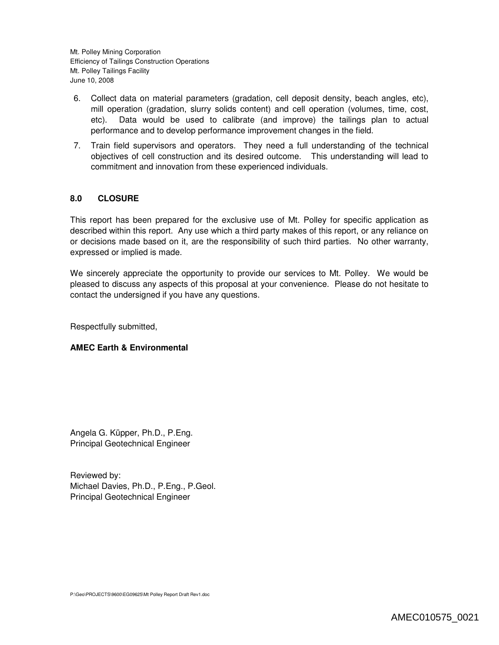- 6. Collect data on material parameters (gradation, cell deposit density, beach angles, etc), mill operation (gradation, slurry solids content) and cell operation (volumes, time, cost, etc). Data would be used to calibrate (and improve) the tailings plan to actual performance and to develop performance improvement changes in the field.
- 7. Train field supervisors and operators. They need a full understanding of the technical objectives of cell construction and its desired outcome. This understanding will lead to commitment and innovation from these experienced individuals.

## **8.0 CLOSURE**

This report has been prepared for the exclusive use of Mt. Polley for specific application as described within this report. Any use which a third party makes of this report, or any reliance on or decisions made based on it, are the responsibility of such third parties. No other warranty, expressed or implied is made.

We sincerely appreciate the opportunity to provide our services to Mt. Polley. We would be pleased to discuss any aspects of this proposal at your convenience. Please do not hesitate to contact the undersigned if you have any questions.

Respectfully submitted,

### **AMEC Earth & Environmental**

Angela G. Küpper, Ph.D., P.Eng. Principal Geotechnical Engineer

Reviewed by: Michael Davies, Ph.D., P.Eng., P.Geol. Principal Geotechnical Engineer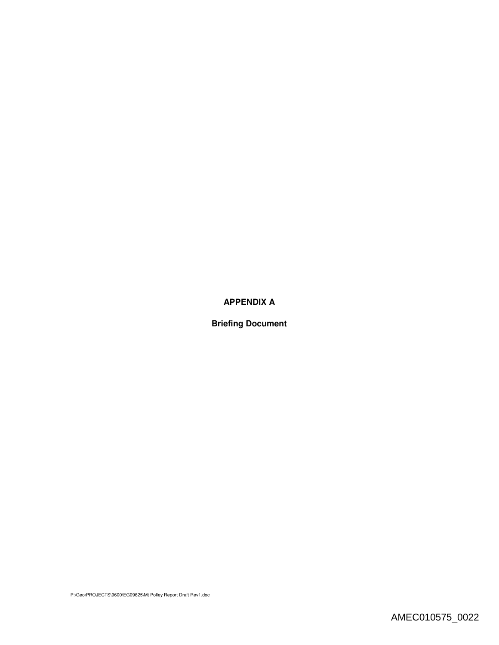# **APPENDIX A**

**Briefing Document**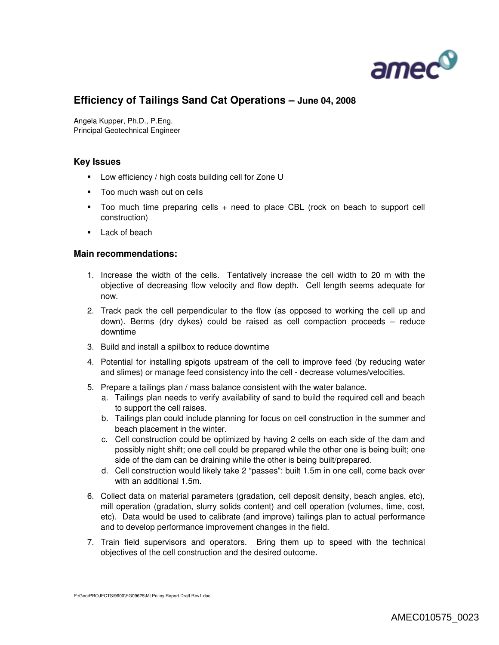

# **Efficiency of Tailings Sand Cat Operations – June 04, 2008**

Angela Kupper, Ph.D., P.Eng. Principal Geotechnical Engineer

### **Key Issues**

- **EXECUTE:** Low efficiency / high costs building cell for Zone U
- Too much wash out on cells
- Too much time preparing cells + need to place CBL (rock on beach to support cell construction)
- **Lack of beach**

#### **Main recommendations:**

- 1. Increase the width of the cells. Tentatively increase the cell width to 20 m with the objective of decreasing flow velocity and flow depth. Cell length seems adequate for now.
- 2. Track pack the cell perpendicular to the flow (as opposed to working the cell up and down). Berms (dry dykes) could be raised as cell compaction proceeds – reduce downtime
- 3. Build and install a spillbox to reduce downtime
- 4. Potential for installing spigots upstream of the cell to improve feed (by reducing water and slimes) or manage feed consistency into the cell - decrease volumes/velocities.
- 5. Prepare a tailings plan / mass balance consistent with the water balance.
	- a. Tailings plan needs to verify availability of sand to build the required cell and beach to support the cell raises.
	- b. Tailings plan could include planning for focus on cell construction in the summer and beach placement in the winter.
	- c. Cell construction could be optimized by having 2 cells on each side of the dam and possibly night shift; one cell could be prepared while the other one is being built; one side of the dam can be draining while the other is being built/prepared.
	- d. Cell construction would likely take 2 "passes": built 1.5m in one cell, come back over with an additional 1.5m.
- 6. Collect data on material parameters (gradation, cell deposit density, beach angles, etc), mill operation (gradation, slurry solids content) and cell operation (volumes, time, cost, etc). Data would be used to calibrate (and improve) tailings plan to actual performance and to develop performance improvement changes in the field.
- 7. Train field supervisors and operators. Bring them up to speed with the technical objectives of the cell construction and the desired outcome.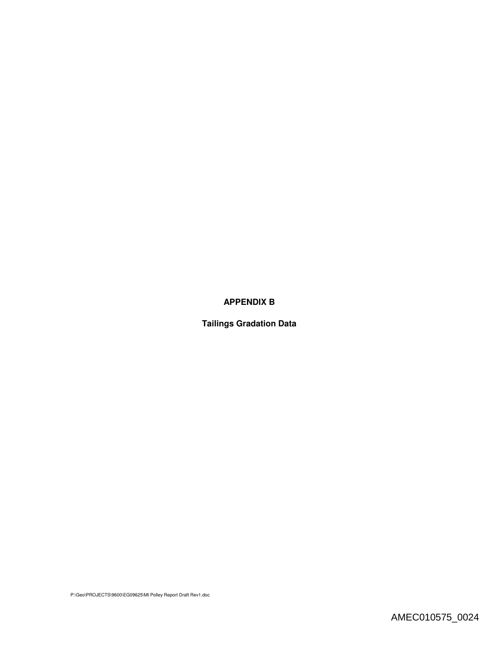# **APPENDIX B**

**Tailings Gradation Data**